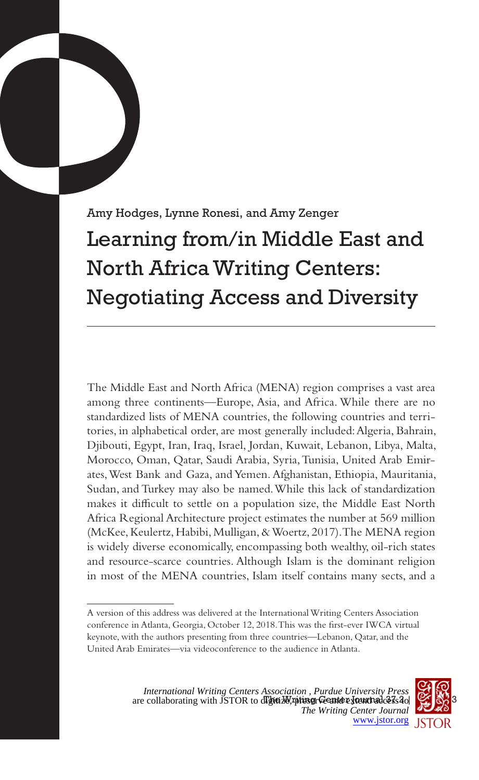Amy Hodges, Lynne Ronesi, and Amy Zenger Learning from/in Middle East and North Africa Writing Centers: Negotiating Access and Diversity

The Middle East and North Africa (MENA) region comprises a vast area among three continents—Europe, Asia, and Africa. While there are no standardized lists of MENA countries, the following countries and territories, in alphabetical order, are most generally included: Algeria, Bahrain, Djibouti, Egypt, Iran, Iraq, Israel, Jordan, Kuwait, Lebanon, Libya, Malta, Morocco, Oman, Qatar, Saudi Arabia, Syria, Tunisia, United Arab Emirates, West Bank and Gaza, and Yemen. Afghanistan, Ethiopia, Mauritania, Sudan, and Turkey may also be named. While this lack of standardization makes it difficult to settle on a population size, the Middle East North Africa Regional Architecture project estimates the number at 569 million (McKee, Keulertz, Habibi, Mulligan, & Woertz, 2017). The MENA region is widely diverse economically, encompassing both wealthy, oil-rich states and resource-scarce countries. Although Islam is the dominant religion in most of the MENA countries, Islam itself contains many sects, and a



A version of this address was delivered at the International Writing Centers Association conference in Atlanta, Georgia, October 12, 2018. This was the first-ever IWCA virtual keynote, with the authors presenting from three countries—Lebanon, Qatar, and the United Arab Emirates—via videoconference to the audience in Atlanta.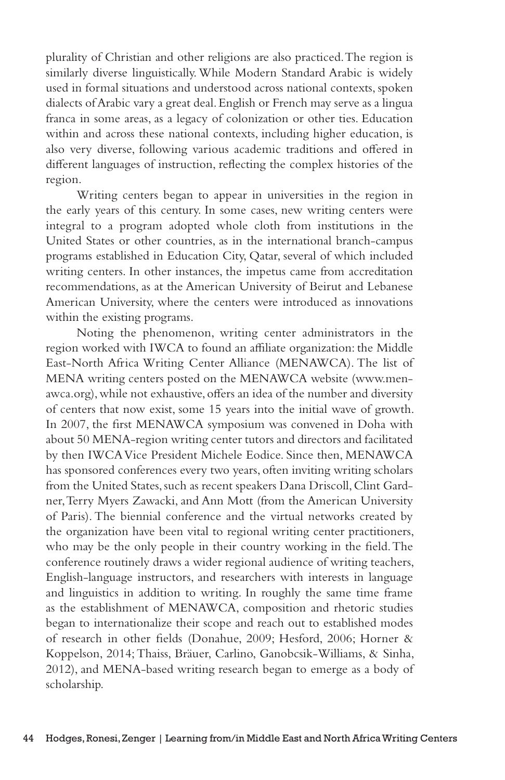plurality of Christian and other religions are also practiced. The region is similarly diverse linguistically. While Modern Standard Arabic is widely used in formal situations and understood across national contexts, spoken dialects of Arabic vary a great deal. English or French may serve as a lingua franca in some areas, as a legacy of colonization or other ties. Education within and across these national contexts, including higher education, is also very diverse, following various academic traditions and offered in different languages of instruction, reflecting the complex histories of the region.

Writing centers began to appear in universities in the region in the early years of this century. In some cases, new writing centers were integral to a program adopted whole cloth from institutions in the United States or other countries, as in the international branch-campus programs established in Education City, Qatar, several of which included writing centers. In other instances, the impetus came from accreditation recommendations, as at the American University of Beirut and Lebanese American University, where the centers were introduced as innovations within the existing programs.

Noting the phenomenon, writing center administrators in the region worked with IWCA to found an affiliate organization: the Middle East-North Africa Writing Center Alliance (MENAWCA). The list of MENA writing centers posted on the MENAWCA website (www.menawca.org), while not exhaustive, offers an idea of the number and diversity of centers that now exist, some 15 years into the initial wave of growth. In 2007, the first MENAWCA symposium was convened in Doha with about 50 MENA-region writing center tutors and directors and facilitated by then IWCA Vice President Michele Eodice. Since then, MENAWCA has sponsored conferences every two years, often inviting writing scholars from the United States, such as recent speakers Dana Driscoll, Clint Gardner, Terry Myers Zawacki, and Ann Mott (from the American University of Paris). The biennial conference and the virtual networks created by the organization have been vital to regional writing center practitioners, who may be the only people in their country working in the field. The conference routinely draws a wider regional audience of writing teachers, English-language instructors, and researchers with interests in language and linguistics in addition to writing. In roughly the same time frame as the establishment of MENAWCA, composition and rhetoric studies began to internationalize their scope and reach out to established modes of research in other fields (Donahue, 2009; Hesford, 2006; Horner & Koppelson, 2014; Thaiss, Bräuer, Carlino, Ganobcsik-Williams, & Sinha, 2012), and MENA-based writing research began to emerge as a body of scholarship.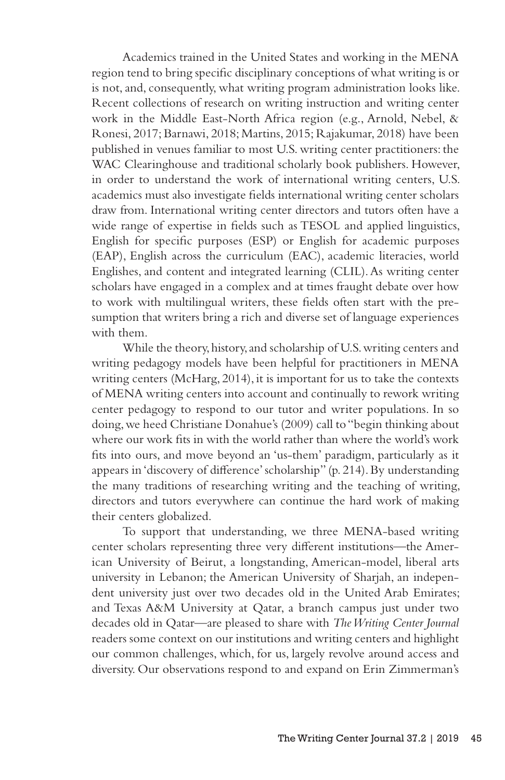Academics trained in the United States and working in the MENA region tend to bring specific disciplinary conceptions of what writing is or is not, and, consequently, what writing program administration looks like. Recent collections of research on writing instruction and writing center work in the Middle East-North Africa region (e.g., Arnold, Nebel, & Ronesi, 2017; Barnawi, 2018; Martins, 2015; Rajakumar, 2018) have been published in venues familiar to most U.S. writing center practitioners: the WAC Clearinghouse and traditional scholarly book publishers. However, in order to understand the work of international writing centers, U.S. academics must also investigate fields international writing center scholars draw from. International writing center directors and tutors often have a wide range of expertise in fields such as TESOL and applied linguistics, English for specific purposes (ESP) or English for academic purposes (EAP), English across the curriculum (EAC), academic literacies, world Englishes, and content and integrated learning (CLIL). As writing center scholars have engaged in a complex and at times fraught debate over how to work with multilingual writers, these fields often start with the presumption that writers bring a rich and diverse set of language experiences with them.

While the theory, history, and scholarship of U.S. writing centers and writing pedagogy models have been helpful for practitioners in MENA writing centers (McHarg, 2014), it is important for us to take the contexts of MENA writing centers into account and continually to rework writing center pedagogy to respond to our tutor and writer populations. In so doing, we heed Christiane Donahue's (2009) call to "begin thinking about where our work fits in with the world rather than where the world's work fits into ours, and move beyond an 'us-them' paradigm, particularly as it appears in 'discovery of difference' scholarship" (p. 214). By understanding the many traditions of researching writing and the teaching of writing, directors and tutors everywhere can continue the hard work of making their centers globalized.

To support that understanding, we three MENA-based writing center scholars representing three very different institutions—the American University of Beirut, a longstanding, American-model, liberal arts university in Lebanon; the American University of Sharjah, an independent university just over two decades old in the United Arab Emirates; and Texas A&M University at Qatar, a branch campus just under two decades old in Qatar—are pleased to share with *The Writing Center Journal* readers some context on our institutions and writing centers and highlight our common challenges, which, for us, largely revolve around access and diversity. Our observations respond to and expand on Erin Zimmerman's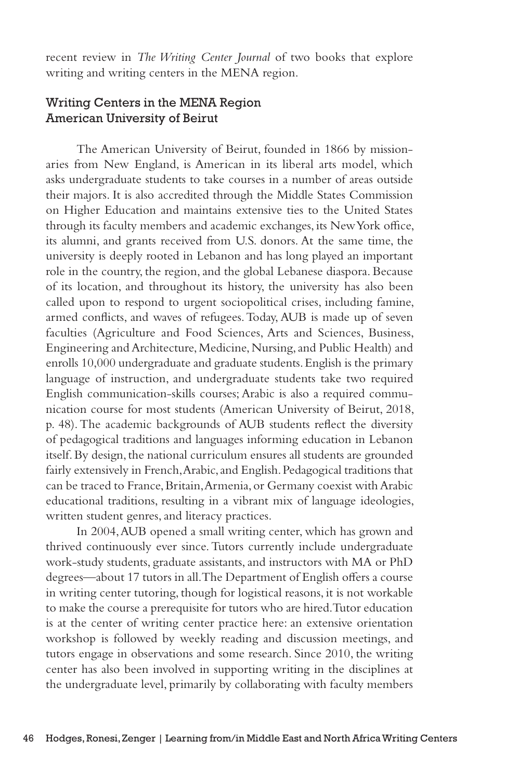recent review in *The Writing Center Journal* of two books that explore writing and writing centers in the MENA region.

# Writing Centers in the MENA Region American University of Beirut

The American University of Beirut, founded in 1866 by missionaries from New England, is American in its liberal arts model, which asks undergraduate students to take courses in a number of areas outside their majors. It is also accredited through the Middle States Commission on Higher Education and maintains extensive ties to the United States through its faculty members and academic exchanges, its New York office, its alumni, and grants received from U.S. donors. At the same time, the university is deeply rooted in Lebanon and has long played an important role in the country, the region, and the global Lebanese diaspora. Because of its location, and throughout its history, the university has also been called upon to respond to urgent sociopolitical crises, including famine, armed conflicts, and waves of refugees. Today, AUB is made up of seven faculties (Agriculture and Food Sciences, Arts and Sciences, Business, Engineering and Architecture, Medicine, Nursing, and Public Health) and enrolls 10,000 undergraduate and graduate students. English is the primary language of instruction, and undergraduate students take two required English communication-skills courses; Arabic is also a required communication course for most students (American University of Beirut, 2018, p. 48). The academic backgrounds of AUB students reflect the diversity of pedagogical traditions and languages informing education in Lebanon itself. By design, the national curriculum ensures all students are grounded fairly extensively in French, Arabic, and English. Pedagogical traditions that can be traced to France, Britain, Armenia, or Germany coexist with Arabic educational traditions, resulting in a vibrant mix of language ideologies, written student genres, and literacy practices.

In 2004, AUB opened a small writing center, which has grown and thrived continuously ever since. Tutors currently include undergraduate work-study students, graduate assistants, and instructors with MA or PhD degrees—about 17 tutors in all. The Department of English offers a course in writing center tutoring, though for logistical reasons, it is not workable to make the course a prerequisite for tutors who are hired. Tutor education is at the center of writing center practice here: an extensive orientation workshop is followed by weekly reading and discussion meetings, and tutors engage in observations and some research. Since 2010, the writing center has also been involved in supporting writing in the disciplines at the undergraduate level, primarily by collaborating with faculty members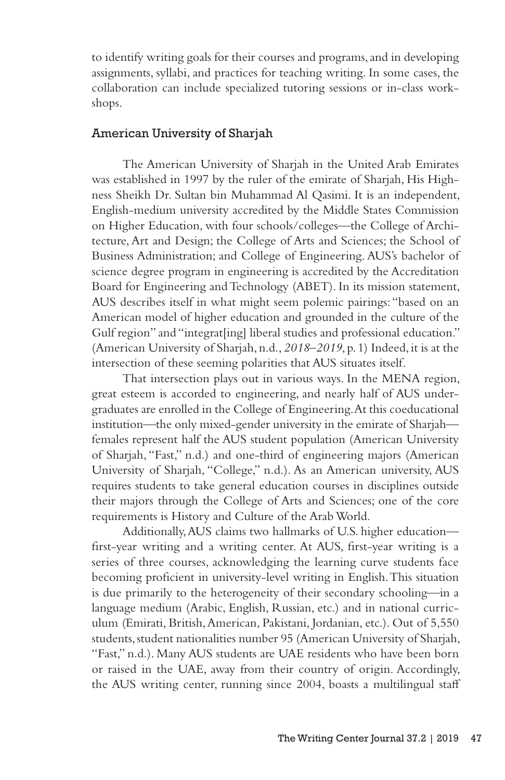to identify writing goals for their courses and programs, and in developing assignments, syllabi, and practices for teaching writing. In some cases, the collaboration can include specialized tutoring sessions or in-class workshops.

## American University of Sharjah

The American University of Sharjah in the United Arab Emirates was established in 1997 by the ruler of the emirate of Sharjah, His Highness Sheikh Dr. Sultan bin Muhammad Al Qasimi. It is an independent, English-medium university accredited by the Middle States Commission on Higher Education, with four schools/colleges—the College of Architecture, Art and Design; the College of Arts and Sciences; the School of Business Administration; and College of Engineering. AUS's bachelor of science degree program in engineering is accredited by the Accreditation Board for Engineering and Technology (ABET). In its mission statement, AUS describes itself in what might seem polemic pairings: "based on an American model of higher education and grounded in the culture of the Gulf region" and "integrat[ing] liberal studies and professional education." (American University of Sharjah, n.d., *2018–2019*, p. 1) Indeed, it is at the intersection of these seeming polarities that AUS situates itself.

That intersection plays out in various ways. In the MENA region, great esteem is accorded to engineering, and nearly half of AUS undergraduates are enrolled in the College of Engineering. At this coeducational institution—the only mixed-gender university in the emirate of Sharjah females represent half the AUS student population (American University of Sharjah, "Fast," n.d.) and one-third of engineering majors (American University of Sharjah, "College," n.d.). As an American university, AUS requires students to take general education courses in disciplines outside their majors through the College of Arts and Sciences; one of the core requirements is History and Culture of the Arab World.

Additionally, AUS claims two hallmarks of U.S. higher education first-year writing and a writing center. At AUS, first-year writing is a series of three courses, acknowledging the learning curve students face becoming proficient in university-level writing in English. This situation is due primarily to the heterogeneity of their secondary schooling—in a language medium (Arabic, English, Russian, etc.) and in national curriculum (Emirati, British, American, Pakistani, Jordanian, etc.). Out of 5,550 students, student nationalities number 95 (American University of Sharjah, "Fast," n.d.). Many AUS students are UAE residents who have been born or raised in the UAE, away from their country of origin. Accordingly, the AUS writing center, running since 2004, boasts a multilingual staff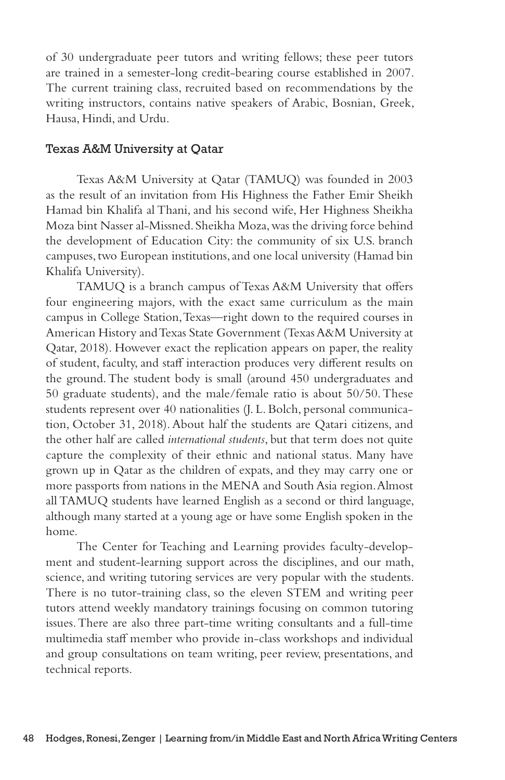of 30 undergraduate peer tutors and writing fellows; these peer tutors are trained in a semester-long credit-bearing course established in 2007. The current training class, recruited based on recommendations by the writing instructors, contains native speakers of Arabic, Bosnian, Greek, Hausa, Hindi, and Urdu.

### Texas A&M University at Qatar

Texas A&M University at Qatar (TAMUQ) was founded in 2003 as the result of an invitation from His Highness the Father Emir Sheikh Hamad bin Khalifa al Thani, and his second wife, Her Highness Sheikha Moza bint Nasser al-Missned. Sheikha Moza, was the driving force behind the development of Education City: the community of six U.S. branch campuses, two European institutions, and one local university (Hamad bin Khalifa University).

TAMUQ is a branch campus of Texas A&M University that offers four engineering majors, with the exact same curriculum as the main campus in College Station, Texas—right down to the required courses in American History and Texas State Government (Texas A&M University at Qatar, 2018). However exact the replication appears on paper, the reality of student, faculty, and staff interaction produces very different results on the ground. The student body is small (around 450 undergraduates and 50 graduate students), and the male/female ratio is about 50/50. These students represent over 40 nationalities (J. L. Bolch, personal communication, October 31, 2018). About half the students are Qatari citizens, and the other half are called *international students*, but that term does not quite capture the complexity of their ethnic and national status. Many have grown up in Qatar as the children of expats, and they may carry one or more passports from nations in the MENA and South Asia region. Almost all TAMUQ students have learned English as a second or third language, although many started at a young age or have some English spoken in the home.

The Center for Teaching and Learning provides faculty-development and student-learning support across the disciplines, and our math, science, and writing tutoring services are very popular with the students. There is no tutor-training class, so the eleven STEM and writing peer tutors attend weekly mandatory trainings focusing on common tutoring issues. There are also three part-time writing consultants and a full-time multimedia staff member who provide in-class workshops and individual and group consultations on team writing, peer review, presentations, and technical reports.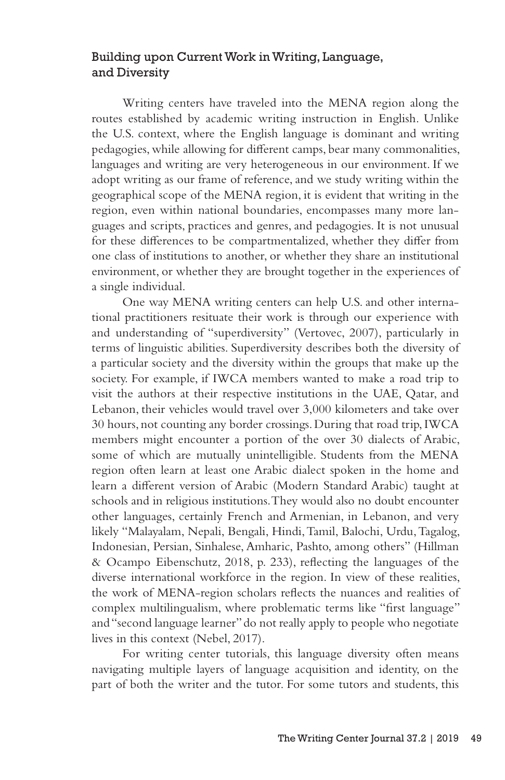## Building upon Current Work in Writing, Language, and Diversity

Writing centers have traveled into the MENA region along the routes established by academic writing instruction in English. Unlike the U.S. context, where the English language is dominant and writing pedagogies, while allowing for different camps, bear many commonalities, languages and writing are very heterogeneous in our environment. If we adopt writing as our frame of reference, and we study writing within the geographical scope of the MENA region, it is evident that writing in the region, even within national boundaries, encompasses many more languages and scripts, practices and genres, and pedagogies. It is not unusual for these differences to be compartmentalized, whether they differ from one class of institutions to another, or whether they share an institutional environment, or whether they are brought together in the experiences of a single individual.

One way MENA writing centers can help U.S. and other international practitioners resituate their work is through our experience with and understanding of "superdiversity" (Vertovec, 2007), particularly in terms of linguistic abilities. Superdiversity describes both the diversity of a particular society and the diversity within the groups that make up the society. For example, if IWCA members wanted to make a road trip to visit the authors at their respective institutions in the UAE, Qatar, and Lebanon, their vehicles would travel over 3,000 kilometers and take over 30 hours, not counting any border crossings. During that road trip, IWCA members might encounter a portion of the over 30 dialects of Arabic, some of which are mutually unintelligible. Students from the MENA region often learn at least one Arabic dialect spoken in the home and learn a different version of Arabic (Modern Standard Arabic) taught at schools and in religious institutions. They would also no doubt encounter other languages, certainly French and Armenian, in Lebanon, and very likely "Malayalam, Nepali, Bengali, Hindi, Tamil, Balochi, Urdu, Tagalog, Indonesian, Persian, Sinhalese, Amharic, Pashto, among others" (Hillman & Ocampo Eibenschutz, 2018, p. 233), reflecting the languages of the diverse international workforce in the region. In view of these realities, the work of MENA-region scholars reflects the nuances and realities of complex multilingualism, where problematic terms like "first language" and "second language learner" do not really apply to people who negotiate lives in this context (Nebel, 2017).

For writing center tutorials, this language diversity often means navigating multiple layers of language acquisition and identity, on the part of both the writer and the tutor. For some tutors and students, this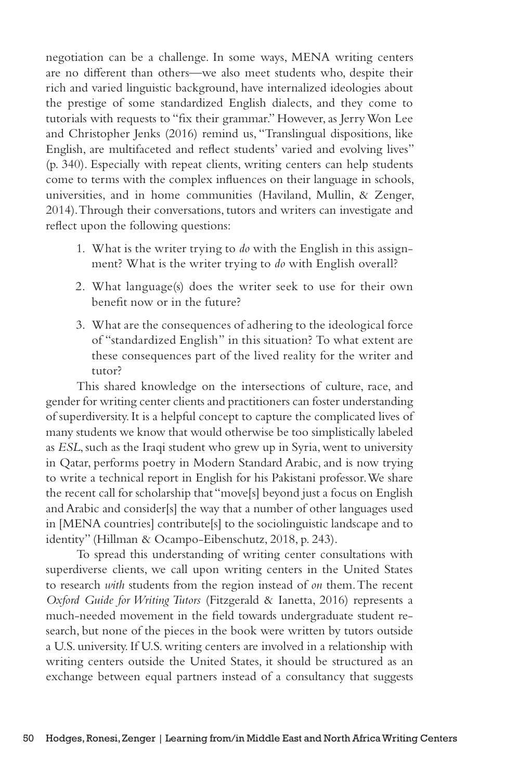negotiation can be a challenge. In some ways, MENA writing centers are no different than others—we also meet students who, despite their rich and varied linguistic background, have internalized ideologies about the prestige of some standardized English dialects, and they come to tutorials with requests to "fix their grammar." However, as Jerry Won Lee and Christopher Jenks (2016) remind us, "Translingual dispositions, like English, are multifaceted and reflect students' varied and evolving lives" (p. 340). Especially with repeat clients, writing centers can help students come to terms with the complex influences on their language in schools, universities, and in home communities (Haviland, Mullin, & Zenger, 2014). Through their conversations, tutors and writers can investigate and reflect upon the following questions:

- 1. What is the writer trying to *do* with the English in this assignment? What is the writer trying to *do* with English overall?
- 2. What language(s) does the writer seek to use for their own benefit now or in the future?
- 3. What are the consequences of adhering to the ideological force of "standardized English" in this situation? To what extent are these consequences part of the lived reality for the writer and tutor?

This shared knowledge on the intersections of culture, race, and gender for writing center clients and practitioners can foster understanding of superdiversity. It is a helpful concept to capture the complicated lives of many students we know that would otherwise be too simplistically labeled as *ESL*, such as the Iraqi student who grew up in Syria, went to university in Qatar, performs poetry in Modern Standard Arabic, and is now trying to write a technical report in English for his Pakistani professor. We share the recent call for scholarship that "move[s] beyond just a focus on English and Arabic and consider[s] the way that a number of other languages used in [MENA countries] contribute[s] to the sociolinguistic landscape and to identity" (Hillman & Ocampo-Eibenschutz, 2018, p. 243).

To spread this understanding of writing center consultations with superdiverse clients, we call upon writing centers in the United States to research *with* students from the region instead of *on* them. The recent *Oxford Guide for Writing Tutors* (Fitzgerald & Ianetta, 2016) represents a much-needed movement in the field towards undergraduate student research, but none of the pieces in the book were written by tutors outside a U.S. university. If U.S. writing centers are involved in a relationship with writing centers outside the United States, it should be structured as an exchange between equal partners instead of a consultancy that suggests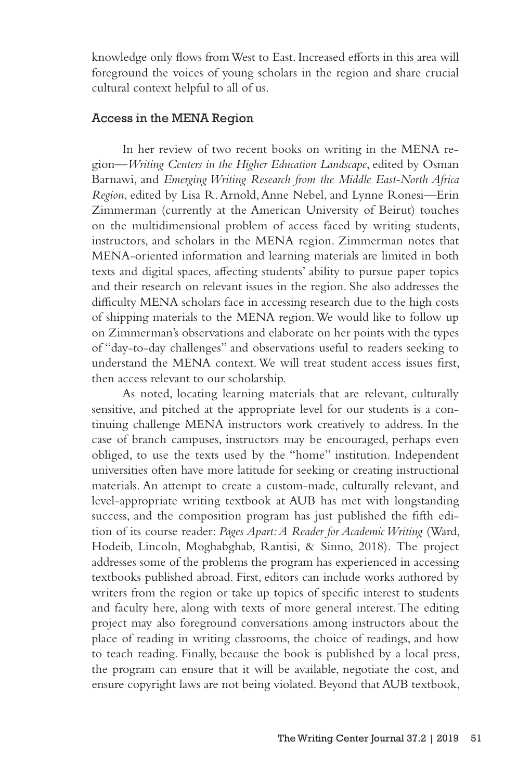knowledge only flows from West to East. Increased efforts in this area will foreground the voices of young scholars in the region and share crucial cultural context helpful to all of us.

#### Access in the MENA Region

In her review of two recent books on writing in the MENA region—*Writing Centers in the Higher Education Landscape*, edited by Osman Barnawi, and *Emerging Writing Research from the Middle East-North Africa Region*, edited by Lisa R. Arnold, Anne Nebel, and Lynne Ronesi—Erin Zimmerman (currently at the American University of Beirut) touches on the multidimensional problem of access faced by writing students, instructors, and scholars in the MENA region. Zimmerman notes that MENA-oriented information and learning materials are limited in both texts and digital spaces, affecting students' ability to pursue paper topics and their research on relevant issues in the region. She also addresses the difficulty MENA scholars face in accessing research due to the high costs of shipping materials to the MENA region. We would like to follow up on Zimmerman's observations and elaborate on her points with the types of "day-to-day challenges" and observations useful to readers seeking to understand the MENA context. We will treat student access issues first, then access relevant to our scholarship.

As noted, locating learning materials that are relevant, culturally sensitive, and pitched at the appropriate level for our students is a continuing challenge MENA instructors work creatively to address. In the case of branch campuses, instructors may be encouraged, perhaps even obliged, to use the texts used by the "home" institution. Independent universities often have more latitude for seeking or creating instructional materials. An attempt to create a custom-made, culturally relevant, and level-appropriate writing textbook at AUB has met with longstanding success, and the composition program has just published the fifth edition of its course reader: *Pages Apart: A Reader for Academic Writing* (Ward, Hodeib, Lincoln, Moghabghab, Rantisi, & Sinno, 2018)*.* The project addresses some of the problems the program has experienced in accessing textbooks published abroad. First, editors can include works authored by writers from the region or take up topics of specific interest to students and faculty here, along with texts of more general interest. The editing project may also foreground conversations among instructors about the place of reading in writing classrooms, the choice of readings, and how to teach reading. Finally, because the book is published by a local press, the program can ensure that it will be available, negotiate the cost, and ensure copyright laws are not being violated. Beyond that AUB textbook,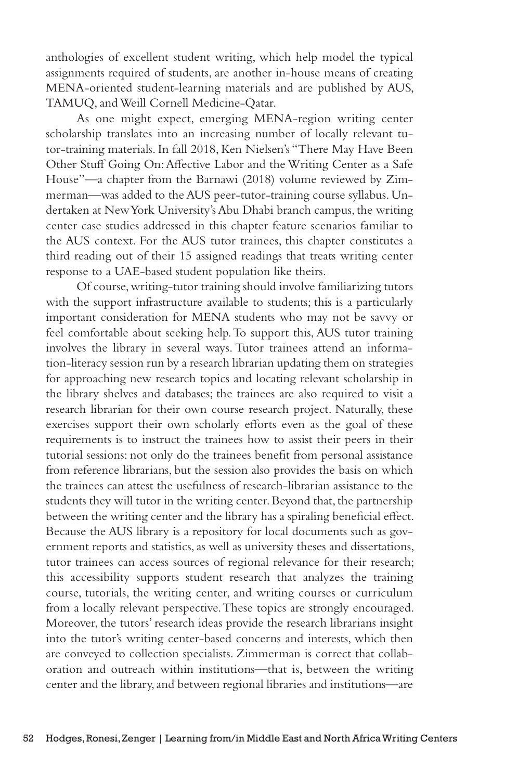anthologies of excellent student writing, which help model the typical assignments required of students, are another in-house means of creating MENA-oriented student-learning materials and are published by AUS, TAMUQ, and Weill Cornell Medicine-Qatar.

As one might expect, emerging MENA-region writing center scholarship translates into an increasing number of locally relevant tutor-training materials. In fall 2018, Ken Nielsen's "There May Have Been Other Stuff Going On: Affective Labor and the Writing Center as a Safe House"—a chapter from the Barnawi (2018) volume reviewed by Zimmerman—was added to the AUS peer-tutor-training course syllabus. Undertaken at New York University's Abu Dhabi branch campus, the writing center case studies addressed in this chapter feature scenarios familiar to the AUS context. For the AUS tutor trainees, this chapter constitutes a third reading out of their 15 assigned readings that treats writing center response to a UAE-based student population like theirs.

Of course, writing-tutor training should involve familiarizing tutors with the support infrastructure available to students; this is a particularly important consideration for MENA students who may not be savvy or feel comfortable about seeking help. To support this, AUS tutor training involves the library in several ways. Tutor trainees attend an information-literacy session run by a research librarian updating them on strategies for approaching new research topics and locating relevant scholarship in the library shelves and databases; the trainees are also required to visit a research librarian for their own course research project. Naturally, these exercises support their own scholarly efforts even as the goal of these requirements is to instruct the trainees how to assist their peers in their tutorial sessions: not only do the trainees benefit from personal assistance from reference librarians, but the session also provides the basis on which the trainees can attest the usefulness of research-librarian assistance to the students they will tutor in the writing center. Beyond that, the partnership between the writing center and the library has a spiraling beneficial effect. Because the AUS library is a repository for local documents such as government reports and statistics, as well as university theses and dissertations, tutor trainees can access sources of regional relevance for their research; this accessibility supports student research that analyzes the training course, tutorials, the writing center, and writing courses or curriculum from a locally relevant perspective. These topics are strongly encouraged. Moreover, the tutors' research ideas provide the research librarians insight into the tutor's writing center-based concerns and interests, which then are conveyed to collection specialists. Zimmerman is correct that collaboration and outreach within institutions—that is, between the writing center and the library, and between regional libraries and institutions—are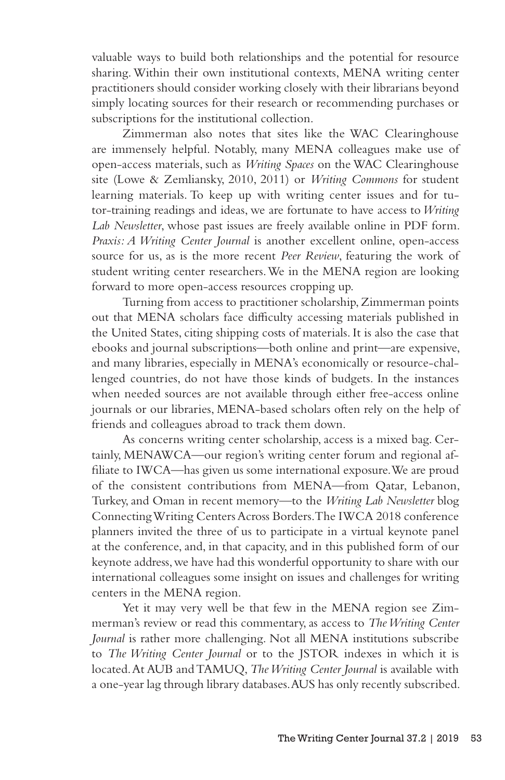valuable ways to build both relationships and the potential for resource sharing. Within their own institutional contexts, MENA writing center practitioners should consider working closely with their librarians beyond simply locating sources for their research or recommending purchases or subscriptions for the institutional collection.

Zimmerman also notes that sites like the WAC Clearinghouse are immensely helpful. Notably, many MENA colleagues make use of open-access materials, such as *Writing Spaces* on the WAC Clearinghouse site (Lowe & Zemliansky, 2010, 2011) or *Writing Commons* for student learning materials. To keep up with writing center issues and for tutor-training readings and ideas, we are fortunate to have access to *Writing Lab Newsletter*, whose past issues are freely available online in PDF form. *Praxis: A Writing Center Journal* is another excellent online, open-access source for us, as is the more recent *Peer Review*, featuring the work of student writing center researchers. We in the MENA region are looking forward to more open-access resources cropping up.

Turning from access to practitioner scholarship, Zimmerman points out that MENA scholars face difficulty accessing materials published in the United States, citing shipping costs of materials. It is also the case that ebooks and journal subscriptions—both online and print—are expensive, and many libraries, especially in MENA's economically or resource-challenged countries, do not have those kinds of budgets. In the instances when needed sources are not available through either free-access online journals or our libraries, MENA-based scholars often rely on the help of friends and colleagues abroad to track them down.

As concerns writing center scholarship, access is a mixed bag. Certainly, MENAWCA—our region's writing center forum and regional affiliate to IWCA—has given us some international exposure. We are proud of the consistent contributions from MENA—from Qatar, Lebanon, Turkey, and Oman in recent memory—to the *Writing Lab Newsletter* blog Connecting Writing Centers Across Borders. The IWCA 2018 conference planners invited the three of us to participate in a virtual keynote panel at the conference, and, in that capacity, and in this published form of our keynote address, we have had this wonderful opportunity to share with our international colleagues some insight on issues and challenges for writing centers in the MENA region.

Yet it may very well be that few in the MENA region see Zimmerman's review or read this commentary, as access to *The Writing Center Journal* is rather more challenging. Not all MENA institutions subscribe to *The Writing Center Journal* or to the JSTOR indexes in which it is located. At AUB and TAMUQ, *The Writing Center Journal* is available with a one-year lag through library databases. AUS has only recently subscribed.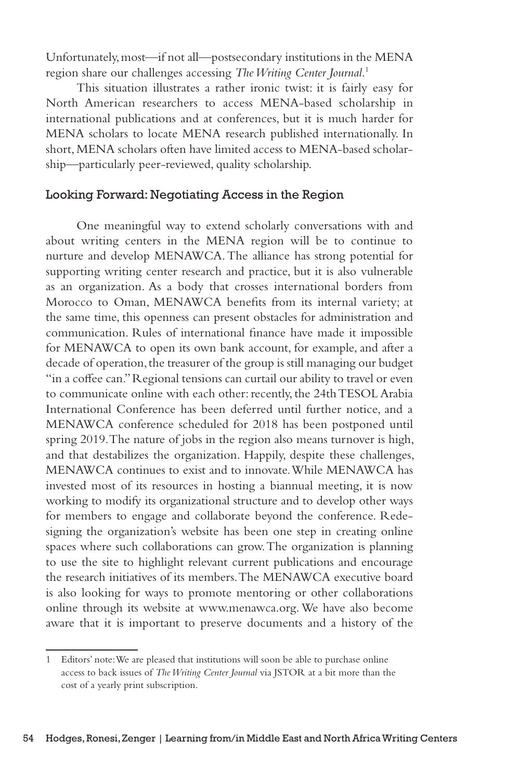Unfortunately, most—if not all—postsecondary institutions in the MENA region share our challenges accessing *The Writing Center Journal*. 1

This situation illustrates a rather ironic twist: it is fairly easy for North American researchers to access MENA-based scholarship in international publications and at conferences, but it is much harder for MENA scholars to locate MENA research published internationally. In short, MENA scholars often have limited access to MENA-based scholarship—particularly peer-reviewed, quality scholarship.

## Looking Forward: Negotiating Access in the Region

One meaningful way to extend scholarly conversations with and about writing centers in the MENA region will be to continue to nurture and develop MENAWCA. The alliance has strong potential for supporting writing center research and practice, but it is also vulnerable as an organization. As a body that crosses international borders from Morocco to Oman, MENAWCA benefits from its internal variety; at the same time, this openness can present obstacles for administration and communication. Rules of international finance have made it impossible for MENAWCA to open its own bank account, for example, and after a decade of operation, the treasurer of the group is still managing our budget "in a coffee can." Regional tensions can curtail our ability to travel or even to communicate online with each other: recently, the 24th TESOL Arabia International Conference has been deferred until further notice, and a MENAWCA conference scheduled for 2018 has been postponed until spring 2019. The nature of jobs in the region also means turnover is high, and that destabilizes the organization. Happily, despite these challenges, MENAWCA continues to exist and to innovate. While MENAWCA has invested most of its resources in hosting a biannual meeting, it is now working to modify its organizational structure and to develop other ways for members to engage and collaborate beyond the conference. Redesigning the organization's website has been one step in creating online spaces where such collaborations can grow. The organization is planning to use the site to highlight relevant current publications and encourage the research initiatives of its members. The MENAWCA executive board is also looking for ways to promote mentoring or other collaborations online through its website at www.menawca.org. We have also become aware that it is important to preserve documents and a history of the

<sup>1</sup> Editors' note: We are pleased that institutions will soon be able to purchase online access to back issues of *The Writing Center Journal* via JSTOR at a bit more than the cost of a yearly print subscription.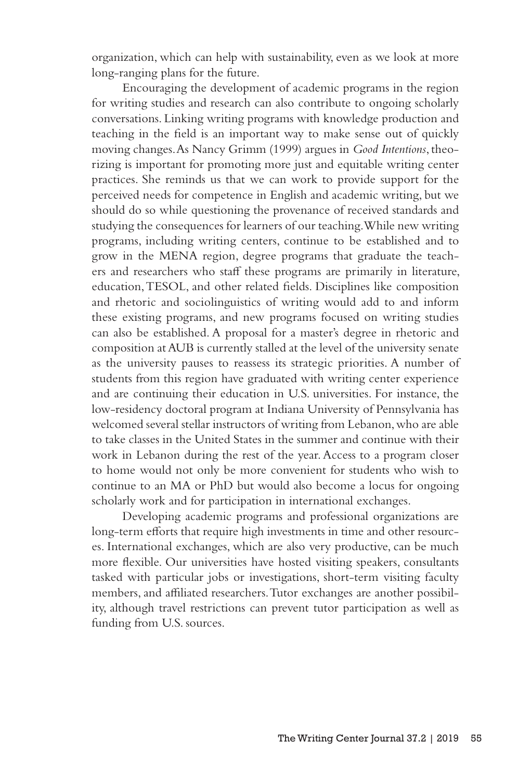organization, which can help with sustainability, even as we look at more long-ranging plans for the future.

Encouraging the development of academic programs in the region for writing studies and research can also contribute to ongoing scholarly conversations. Linking writing programs with knowledge production and teaching in the field is an important way to make sense out of quickly moving changes. As Nancy Grimm (1999) argues in *Good Intentions*, theorizing is important for promoting more just and equitable writing center practices. She reminds us that we can work to provide support for the perceived needs for competence in English and academic writing, but we should do so while questioning the provenance of received standards and studying the consequences for learners of our teaching. While new writing programs, including writing centers, continue to be established and to grow in the MENA region, degree programs that graduate the teachers and researchers who staff these programs are primarily in literature, education, TESOL, and other related fields. Disciplines like composition and rhetoric and sociolinguistics of writing would add to and inform these existing programs, and new programs focused on writing studies can also be established. A proposal for a master's degree in rhetoric and composition at AUB is currently stalled at the level of the university senate as the university pauses to reassess its strategic priorities. A number of students from this region have graduated with writing center experience and are continuing their education in U.S. universities. For instance, the low-residency doctoral program at Indiana University of Pennsylvania has welcomed several stellar instructors of writing from Lebanon, who are able to take classes in the United States in the summer and continue with their work in Lebanon during the rest of the year. Access to a program closer to home would not only be more convenient for students who wish to continue to an MA or PhD but would also become a locus for ongoing scholarly work and for participation in international exchanges.

Developing academic programs and professional organizations are long-term efforts that require high investments in time and other resources. International exchanges, which are also very productive, can be much more flexible. Our universities have hosted visiting speakers, consultants tasked with particular jobs or investigations, short-term visiting faculty members, and affiliated researchers. Tutor exchanges are another possibility, although travel restrictions can prevent tutor participation as well as funding from U.S. sources.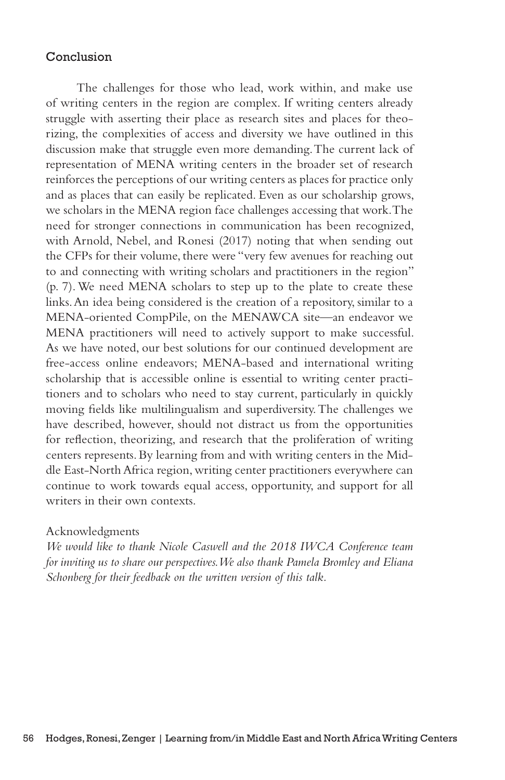### Conclusion

The challenges for those who lead, work within, and make use of writing centers in the region are complex. If writing centers already struggle with asserting their place as research sites and places for theorizing, the complexities of access and diversity we have outlined in this discussion make that struggle even more demanding. The current lack of representation of MENA writing centers in the broader set of research reinforces the perceptions of our writing centers as places for practice only and as places that can easily be replicated. Even as our scholarship grows, we scholars in the MENA region face challenges accessing that work. The need for stronger connections in communication has been recognized, with Arnold, Nebel, and Ronesi (2017) noting that when sending out the CFPs for their volume, there were "very few avenues for reaching out to and connecting with writing scholars and practitioners in the region" (p. 7). We need MENA scholars to step up to the plate to create these links. An idea being considered is the creation of a repository, similar to a MENA-oriented CompPile, on the MENAWCA site—an endeavor we MENA practitioners will need to actively support to make successful. As we have noted, our best solutions for our continued development are free-access online endeavors; MENA-based and international writing scholarship that is accessible online is essential to writing center practitioners and to scholars who need to stay current, particularly in quickly moving fields like multilingualism and superdiversity. The challenges we have described, however, should not distract us from the opportunities for reflection, theorizing, and research that the proliferation of writing centers represents. By learning from and with writing centers in the Middle East-North Africa region, writing center practitioners everywhere can continue to work towards equal access, opportunity, and support for all writers in their own contexts.

#### Acknowledgments

*We would like to thank Nicole Caswell and the 2018 IWCA Conference team for inviting us to share our perspectives. We also thank Pamela Bromley and Eliana Schonberg for their feedback on the written version of this talk.*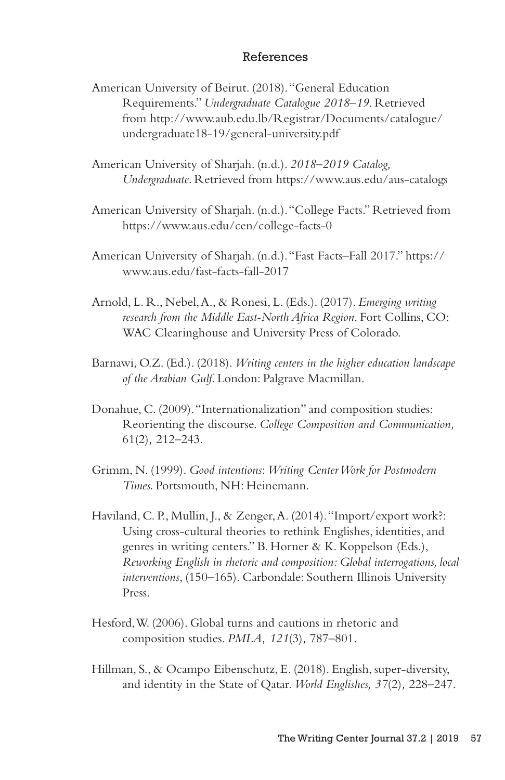### References

- American University of Beirut. (2018). "General Education Requirements." *Undergraduate Catalogue 2018*–*19*. Retrieved from http://www.aub.edu.lb/Registrar/Documents/catalogue/ undergraduate18-19/general-university.pdf
- American University of Sharjah. (n.d.). *2018–2019 Catalog, Undergraduate*. Retrieved from https://www.aus.edu/aus-catalogs
- American University of Sharjah. (n.d.). "College Facts." Retrieved from https://www.aus.edu/cen/college-facts-0
- American University of Sharjah. (n.d.). "Fast Facts*–*Fall 2017." https:// www.aus.edu/fast-facts-fall-2017
- Arnold, L. R., Nebel, A., & Ronesi, L. (Eds.). (2017). *Emerging writing research from the Middle East-North Africa Region*. Fort Collins, CO: WAC Clearinghouse and University Press of Colorado.
- Barnawi, O.Z. (Ed.). (2018). *Writing centers in the higher education landscape of the Arabian Gulf*. London: Palgrave Macmillan.
- Donahue, C. (2009). "Internationalization" and composition studies: Reorienting the discourse. *College Composition and Communication,* 61(2)*,* 212–243.
- Grimm, N. (1999). *Good intentions*: *Writing Center Work for Postmodern Times.* Portsmouth, NH: Heinemann.
- Haviland, C. P., Mullin, J., & Zenger, A. (2014). "Import/export work?: Using cross-cultural theories to rethink Englishes, identities, and genres in writing centers." B. Horner & K. Koppelson (Eds.), *Reworking English in rhetoric and composition: Global interrogations, local interventions*, (150–165)*.* Carbondale: Southern Illinois University Press.
- Hesford, W. (2006). Global turns and cautions in rhetoric and composition studies. *PMLA, 121*(3)*,* 787–801.
- Hillman, S., & Ocampo Eibenschutz, E. (2018). English, super-diversity, and identity in the State of Qatar. *World Englishes, 37*(2)*,* 228–247.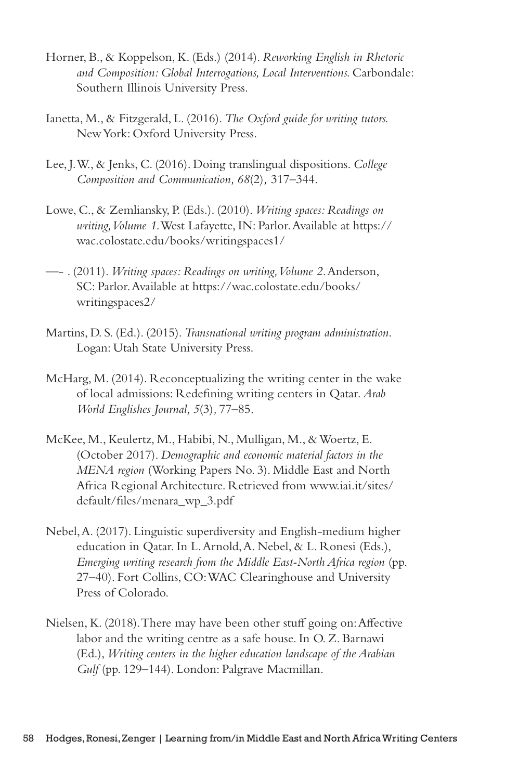- Horner, B., & Koppelson, K. (Eds.) (2014). *Reworking English in Rhetoric and Composition: Global Interrogations, Local Interventions.* Carbondale: Southern Illinois University Press.
- Ianetta, M., & Fitzgerald, L. (2016). *The Oxford guide for writing tutors.*  New York: Oxford University Press.
- Lee, J. W., & Jenks, C. (2016). Doing translingual dispositions. *College Composition and Communication, 68*(2)*,* 317–344.
- Lowe, C., & Zemliansky, P. (Eds.). (2010). *Writing spaces: Readings on writing, Volume 1*. West Lafayette, IN: Parlor. Available at https:// wac.colostate.edu/books/writingspaces1/
- —- . (2011). *Writing spaces: Readings on writing, Volume 2*. Anderson, SC: Parlor. Available at https://wac.colostate.edu/books/ writingspaces2/
- Martins, D. S. (Ed.). (2015). *Transnational writing program administration*. Logan: Utah State University Press.
- McHarg, M. (2014). Reconceptualizing the writing center in the wake of local admissions: Redefining writing centers in Qatar. *Arab World Englishes Journal, 5*(3)*,* 77–85.
- McKee, M., Keulertz, M., Habibi, N., Mulligan, M., & Woertz, E. (October 2017). *Demographic and economic material factors in the MENA region* (Working Papers No. 3). Middle East and North Africa Regional Architecture. Retrieved from www.iai.it/sites/ default/files/menara\_wp\_3.pdf
- Nebel, A. (2017). Linguistic superdiversity and English-medium higher education in Qatar. In L. Arnold, A. Nebel, & L. Ronesi (Eds.), *Emerging writing research from the Middle East-North Africa region* (pp. 27–40). Fort Collins, CO: WAC Clearinghouse and University Press of Colorado.
- Nielsen, K. (2018). There may have been other stuff going on: Affective labor and the writing centre as a safe house. In O. Z. Barnawi (Ed.), *Writing centers in the higher education landscape of the Arabian*  Gulf (pp. 129–144). London: Palgrave Macmillan.